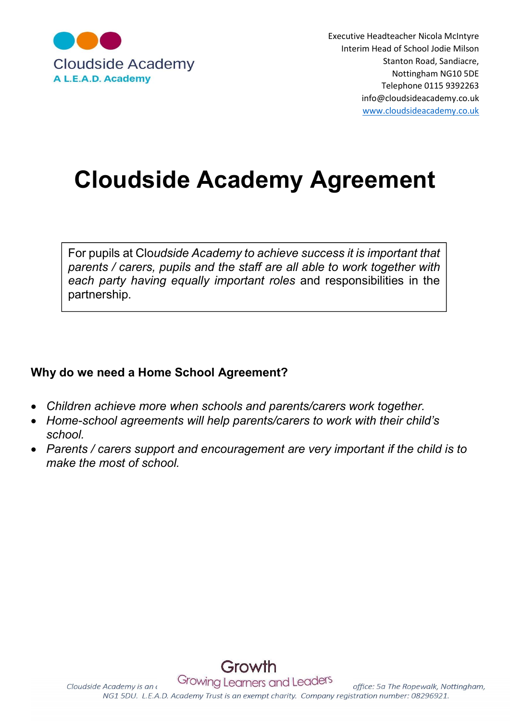

Executive Headteacher Nicola McIntyre Interim Head of School Jodie Milson Nottingham NG10 5DE Telephone 0115 9392263 info@cloudsideacademy.co.uk www.cloudsideacademy.co.uk

# Cloudside Academy Agreement

For pupils at Cloudside Academy to achieve success it is important that parents / carers, pupils and the staff are all able to work together with each party having equally important roles and responsibilities in the partnership.

## Why do we need a Home School Agreement?

- Children achieve more when schools and parents/carers work together.
- Home-school agreements will help parents/carers to work with their child's school.
- Parents / carers support and encouragement are very important if the child is to make the most of school.